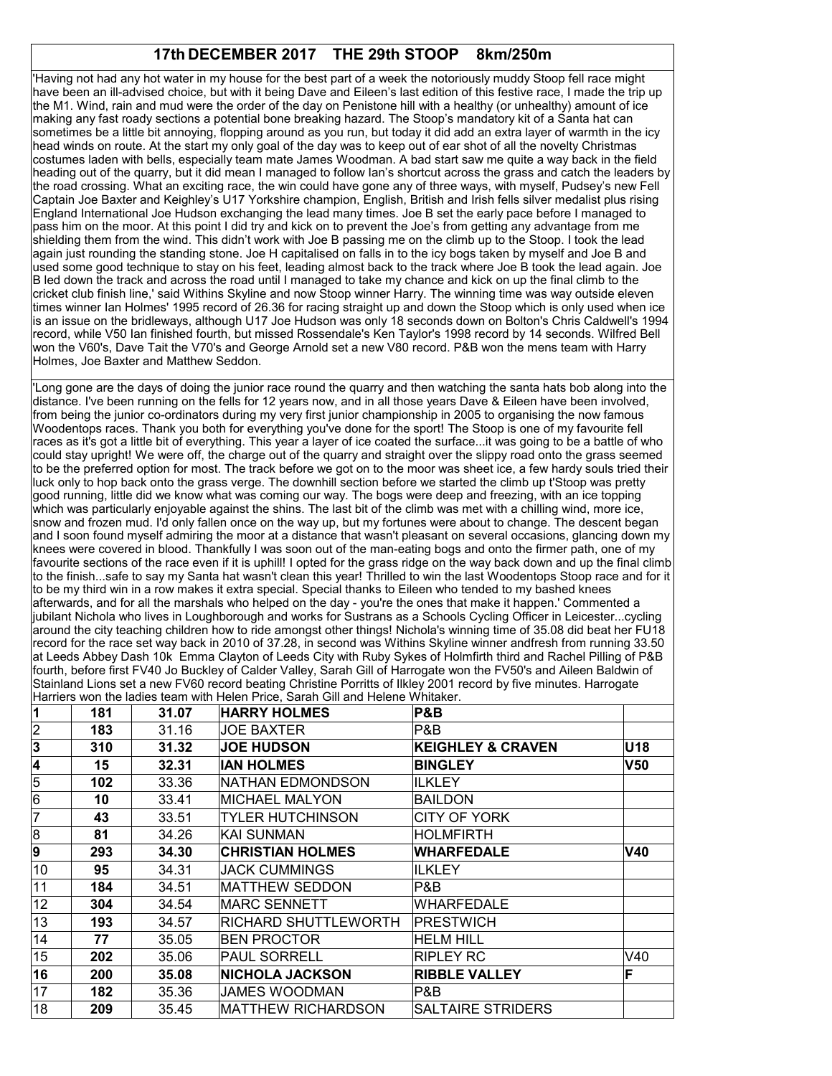## **17th DECEMBER 2017 THE 29th STOOP 8km/250m**

'Having not had any hot water in my house for the best part of a week the notoriously muddy Stoop fell race might have been an ill-advised choice, but with it being Dave and Eileen's last edition of this festive race, I made the trip up the M1. Wind, rain and mud were the order of the day on Penistone hill with a healthy (or unhealthy) amount of ice making any fast roady sections a potential bone breaking hazard. The Stoop's mandatory kit of a Santa hat can sometimes be a little bit annoying, flopping around as you run, but today it did add an extra layer of warmth in the icy head winds on route. At the start my only goal of the day was to keep out of ear shot of all the novelty Christmas costumes laden with bells, especially team mate James Woodman. A bad start saw me quite a way back in the field heading out of the quarry, but it did mean I managed to follow Ian's shortcut across the grass and catch the leaders by the road crossing. What an exciting race, the win could have gone any of three ways, with myself, Pudsey's new Fell Captain Joe Baxter and Keighley's U17 Yorkshire champion, English, British and Irish fells silver medalist plus rising England International Joe Hudson exchanging the lead many times. Joe B set the early pace before I managed to pass him on the moor. At this point I did try and kick on to prevent the Joe's from getting any advantage from me shielding them from the wind. This didn't work with Joe B passing me on the climb up to the Stoop. I took the lead again just rounding the standing stone. Joe H capitalised on falls in to the icy bogs taken by myself and Joe B and used some good technique to stay on his feet, leading almost back to the track where Joe B took the lead again. Joe B led down the track and across the road until I managed to take my chance and kick on up the final climb to the cricket club finish line,' said Withins Skyline and now Stoop winner Harry. The winning time was way outside eleven times winner Ian Holmes' 1995 record of 26.36 for racing straight up and down the Stoop which is only used when ice is an issue on the bridleways, although U17 Joe Hudson was only 18 seconds down on Bolton's Chris Caldwell's 1994 record, while V50 Ian finished fourth, but missed Rossendale's Ken Taylor's 1998 record by 14 seconds. Wilfred Bell won the V60's, Dave Tait the V70's and George Arnold set a new V80 record. P&B won the mens team with Harry Holmes, Joe Baxter and Matthew Seddon.

'Long gone are the days of doing the junior race round the quarry and then watching the santa hats bob along into the distance. I've been running on the fells for 12 years now, and in all those years Dave & Eileen have been involved, from being the junior co-ordinators during my very first junior championship in 2005 to organising the now famous Woodentops races. Thank you both for everything you've done for the sport! The Stoop is one of my favourite fell races as it's got a little bit of everything. This year a layer of ice coated the surface...it was going to be a battle of who could stay upright! We were off, the charge out of the quarry and straight over the slippy road onto the grass seemed to be the preferred option for most. The track before we got on to the moor was sheet ice, a few hardy souls tried their luck only to hop back onto the grass verge. The downhill section before we started the climb up t'Stoop was pretty good running, little did we know what was coming our way. The bogs were deep and freezing, with an ice topping which was particularly enjoyable against the shins. The last bit of the climb was met with a chilling wind, more ice, snow and frozen mud. I'd only fallen once on the way up, but my fortunes were about to change. The descent began and I soon found myself admiring the moor at a distance that wasn't pleasant on several occasions, glancing down my knees were covered in blood. Thankfully I was soon out of the man-eating bogs and onto the firmer path, one of my favourite sections of the race even if it is uphill! I opted for the grass ridge on the way back down and up the final climb to the finish...safe to say my Santa hat wasn't clean this year! Thrilled to win the last Woodentops Stoop race and for it to be my third win in a row makes it extra special. Special thanks to Eileen who tended to my bashed knees afterwards, and for all the marshals who helped on the day - you're the ones that make it happen.' Commented a jubilant Nichola who lives in Loughborough and works for Sustrans as a Schools Cycling Officer in Leicester...cycling around the city teaching children how to ride amongst other things! Nichola's winning time of 35.08 did beat her FU18 record for the race set way back in 2010 of 37.28, in second was Withins Skyline winner andfresh from running 33.50 at Leeds Abbey Dash 10k Emma Clayton of Leeds City with Ruby Sykes of Holmfirth third and Rachel Pilling of P&B fourth, before first FV40 Jo Buckley of Calder Valley, Sarah Gill of Harrogate won the FV50's and Aileen Baldwin of Stainland Lions set a new FV60 record beating Christine Porritts of Ilkley 2001 record by five minutes. Harrogate Harriers won the ladies team with Helen Price, Sarah Gill and Helene Whitaker.

|                |     |       | $\mu$ rathers won the laures team with Helen Filoe, ouran Olli and Helene Williams. |                              |                 |
|----------------|-----|-------|-------------------------------------------------------------------------------------|------------------------------|-----------------|
| 1              | 181 | 31.07 | <b>HARRY HOLMES</b>                                                                 | P&B                          |                 |
| $\frac{2}{3}$  | 183 | 31.16 | JOE BAXTER                                                                          | P&B                          |                 |
|                | 310 | 31.32 | <b>JOE HUDSON</b>                                                                   | <b>KEIGHLEY &amp; CRAVEN</b> | U18             |
| 4              | 15  | 32.31 | <b>IAN HOLMES</b>                                                                   | <b>BINGLEY</b>               | V <sub>50</sub> |
| $\overline{5}$ | 102 | 33.36 | NATHAN EDMONDSON                                                                    | ILKLEY                       |                 |
| 6              | 10  | 33.41 | MICHAEL MALYON                                                                      | <b>BAILDON</b>               |                 |
| 17             | 43  | 33.51 | <b>TYLER HUTCHINSON</b>                                                             | <b>CITY OF YORK</b>          |                 |
| 8              | 81  | 34.26 | IKAI SUNMAN                                                                         | <b>HOLMFIRTH</b>             |                 |
| 9              | 293 | 34.30 | <b>CHRISTIAN HOLMES</b>                                                             | <b>WHARFEDALE</b>            | V40             |
| 10             | 95  | 34.31 | <b>JACK CUMMINGS</b>                                                                | <b>ILKLEY</b>                |                 |
| 11             | 184 | 34.51 | <b>MATTHEW SEDDON</b>                                                               | P&B                          |                 |
| 12             | 304 | 34.54 | MARC SENNETT                                                                        | WHARFEDALE                   |                 |
| 13             | 193 | 34.57 | RICHARD SHUTTLEWORTH                                                                | PRESTWICH                    |                 |
| 14             | 77  | 35.05 | <b>BEN PROCTOR</b>                                                                  | <b>HELM HILL</b>             |                 |
| 15             | 202 | 35.06 | <b>PAUL SORRELL</b>                                                                 | <b>RIPLEY RC</b>             | V40             |
| 16             | 200 | 35.08 | <b>NICHOLA JACKSON</b>                                                              | <b>RIBBLE VALLEY</b>         | F               |
| 17             | 182 | 35.36 | <b>JAMES WOODMAN</b>                                                                | P&B                          |                 |
| 18             | 209 | 35.45 | <b>MATTHEW RICHARDSON</b>                                                           | SALTAIRE STRIDERS            |                 |
|                |     |       |                                                                                     |                              |                 |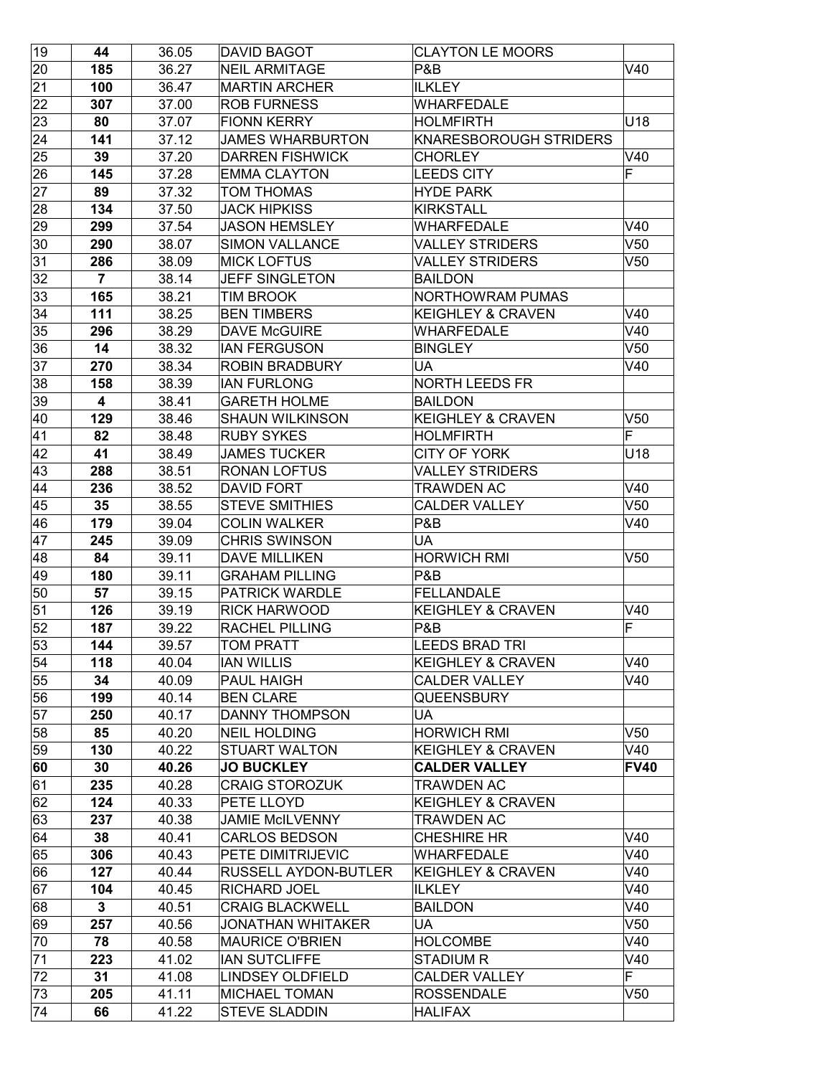| 19 | 44                      | 36.05 | <b>DAVID BAGOT</b>          | <b>CLAYTON LE MOORS</b>       |                 |
|----|-------------------------|-------|-----------------------------|-------------------------------|-----------------|
| 20 | 185                     | 36.27 | NEIL ARMITAGE               | P&B                           | V40             |
| 21 | 100                     | 36.47 | <b>MARTIN ARCHER</b>        | <b>ILKLEY</b>                 |                 |
| 22 | 307                     | 37.00 | <b>ROB FURNESS</b>          | <b>WHARFEDALE</b>             |                 |
| 23 | 80                      | 37.07 | <b>FIONN KERRY</b>          | <b>HOLMFIRTH</b>              | U18             |
| 24 | 141                     | 37.12 | <b>JAMES WHARBURTON</b>     | <b>KNARESBOROUGH STRIDERS</b> |                 |
| 25 | 39                      | 37.20 | <b>DARREN FISHWICK</b>      | <b>CHORLEY</b>                | V40             |
| 26 | 145                     | 37.28 | <b>EMMA CLAYTON</b>         | <b>LEEDS CITY</b>             | F               |
| 27 | 89                      | 37.32 | TOM THOMAS                  | <b>HYDE PARK</b>              |                 |
| 28 | 134                     | 37.50 | <b>JACK HIPKISS</b>         | <b>KIRKSTALL</b>              |                 |
| 29 | 299                     | 37.54 | <b>JASON HEMSLEY</b>        | <b>WHARFEDALE</b>             | V40             |
| 30 | 290                     | 38.07 | <b>SIMON VALLANCE</b>       | <b>VALLEY STRIDERS</b>        | V <sub>50</sub> |
| 31 | 286                     | 38.09 | <b>MICK LOFTUS</b>          | <b>VALLEY STRIDERS</b>        | V50             |
| 32 | $\overline{7}$          | 38.14 | <b>JEFF SINGLETON</b>       | <b>BAILDON</b>                |                 |
| 33 | 165                     | 38.21 | TIM BROOK                   | <b>NORTHOWRAM PUMAS</b>       |                 |
| 34 | 111                     | 38.25 | <b>BEN TIMBERS</b>          | <b>KEIGHLEY &amp; CRAVEN</b>  | V40             |
| 35 | 296                     | 38.29 | <b>DAVE McGUIRE</b>         | <b>WHARFEDALE</b>             | V40             |
| 36 | 14                      | 38.32 | <b>IAN FERGUSON</b>         | <b>BINGLEY</b>                | V50             |
| 37 | 270                     | 38.34 | <b>ROBIN BRADBURY</b>       | UA                            | V40             |
| 38 | 158                     | 38.39 | <b>IAN FURLONG</b>          | <b>NORTH LEEDS FR</b>         |                 |
| 39 | $\overline{\mathbf{4}}$ | 38.41 | <b>GARETH HOLME</b>         | <b>BAILDON</b>                |                 |
| 40 | 129                     | 38.46 | <b>SHAUN WILKINSON</b>      | <b>KEIGHLEY &amp; CRAVEN</b>  | V50             |
| 41 | 82                      | 38.48 | <b>RUBY SYKES</b>           | <b>HOLMFIRTH</b>              | F               |
| 42 | 41                      | 38.49 | <b>JAMES TUCKER</b>         | <b>CITY OF YORK</b>           | U18             |
| 43 | 288                     | 38.51 | <b>RONAN LOFTUS</b>         | <b>VALLEY STRIDERS</b>        |                 |
| 44 | 236                     | 38.52 | <b>DAVID FORT</b>           | TRAWDEN AC                    | V40             |
| 45 | 35                      | 38.55 | <b>STEVE SMITHIES</b>       | <b>CALDER VALLEY</b>          | V50             |
| 46 | 179                     | 39.04 | <b>COLIN WALKER</b>         | P&B                           | V40             |
| 47 | 245                     | 39.09 | <b>CHRIS SWINSON</b>        | UA                            |                 |
| 48 | 84                      | 39.11 | <b>DAVE MILLIKEN</b>        | <b>HORWICH RMI</b>            | V50             |
| 49 | 180                     | 39.11 | <b>GRAHAM PILLING</b>       | P&B                           |                 |
| 50 | 57                      | 39.15 | <b>PATRICK WARDLE</b>       | <b>FELLANDALE</b>             |                 |
| 51 | 126                     | 39.19 | <b>RICK HARWOOD</b>         | <b>KEIGHLEY &amp; CRAVEN</b>  | V40             |
| 52 | 187                     | 39.22 | <b>RACHEL PILLING</b>       | <b>P&amp;B</b>                | F               |
| 53 | 144                     | 39.57 | <b>TOM PRATT</b>            | LEEDS BRAD TRI                |                 |
| 54 | 118                     | 40.04 | <b>IAN WILLIS</b>           | <b>KEIGHLEY &amp; CRAVEN</b>  | V40             |
| 55 | 34                      | 40.09 | PAUL HAIGH                  | <b>CALDER VALLEY</b>          | V40             |
| 56 | 199                     | 40.14 | <b>BEN CLARE</b>            | QUEENSBURY                    |                 |
| 57 | 250                     | 40.17 | <b>DANNY THOMPSON</b>       | UA                            |                 |
| 58 | 85                      | 40.20 | NEIL HOLDING                | <b>HORWICH RMI</b>            | V50             |
| 59 | 130                     | 40.22 | <b>STUART WALTON</b>        | <b>KEIGHLEY &amp; CRAVEN</b>  | V40             |
| 60 | 30                      | 40.26 | <b>JO BUCKLEY</b>           | <b>CALDER VALLEY</b>          | <b>FV40</b>     |
| 61 | 235                     | 40.28 | <b>CRAIG STOROZUK</b>       | TRAWDEN AC                    |                 |
| 62 | 124                     | 40.33 | PETE LLOYD                  | <b>KEIGHLEY &amp; CRAVEN</b>  |                 |
| 63 | 237                     | 40.38 | <b>JAMIE McILVENNY</b>      | TRAWDEN AC                    |                 |
| 64 | 38                      | 40.41 | <b>CARLOS BEDSON</b>        | CHESHIRE HR                   | V40             |
| 65 | 306                     | 40.43 | PETE DIMITRIJEVIC           | <b>WHARFEDALE</b>             | V40             |
| 66 | 127                     | 40.44 | <b>RUSSELL AYDON-BUTLER</b> | <b>KEIGHLEY &amp; CRAVEN</b>  | V40             |
| 67 | 104                     | 40.45 | <b>RICHARD JOEL</b>         | <b>ILKLEY</b>                 | V40             |
| 68 | 3                       | 40.51 | <b>CRAIG BLACKWELL</b>      | <b>BAILDON</b>                | V40             |
| 69 | 257                     | 40.56 | JONATHAN WHITAKER           | UA                            | V50             |
| 70 | 78                      | 40.58 | <b>MAURICE O'BRIEN</b>      | <b>HOLCOMBE</b>               | V40             |
| 71 | 223                     | 41.02 | <b>IAN SUTCLIFFE</b>        | <b>STADIUM R</b>              | V40             |
| 72 | 31                      | 41.08 | <b>LINDSEY OLDFIELD</b>     | <b>CALDER VALLEY</b>          | F               |
| 73 | 205                     | 41.11 | <b>MICHAEL TOMAN</b>        | <b>ROSSENDALE</b>             | V50             |
| 74 | 66                      | 41.22 | <b>STEVE SLADDIN</b>        | <b>HALIFAX</b>                |                 |
|    |                         |       |                             |                               |                 |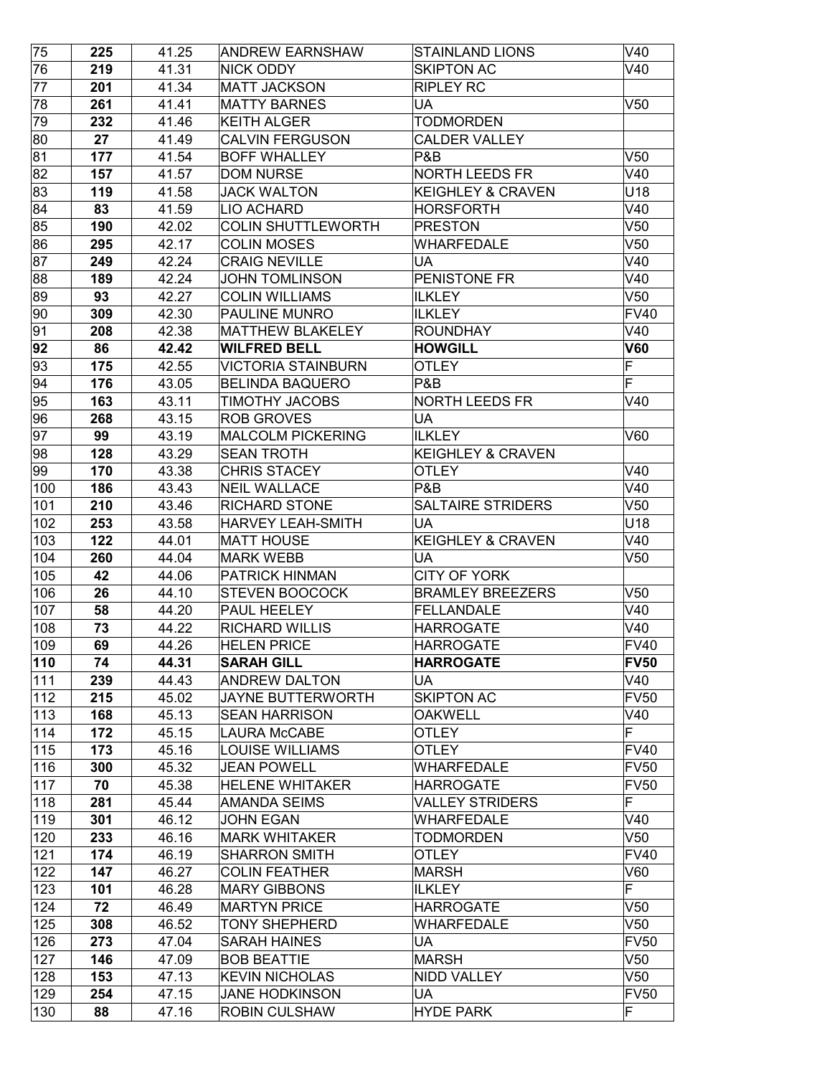| 76<br>219<br>41.31<br><b>NICK ODDY</b><br><b>SKIPTON AC</b><br>77<br>201<br>41.34<br><b>MATT JACKSON</b><br><b>RIPLEY RC</b><br>78<br>261<br>41.41<br><b>MATTY BARNES</b><br>UA<br>79<br>232<br>41.46<br><b>KEITH ALGER</b><br>TODMORDEN | V40<br>V50              |
|------------------------------------------------------------------------------------------------------------------------------------------------------------------------------------------------------------------------------------------|-------------------------|
|                                                                                                                                                                                                                                          |                         |
|                                                                                                                                                                                                                                          |                         |
|                                                                                                                                                                                                                                          |                         |
|                                                                                                                                                                                                                                          |                         |
| 80<br>27<br><b>CALDER VALLEY</b><br>41.49<br><b>CALVIN FERGUSON</b>                                                                                                                                                                      |                         |
| 81<br>177<br>41.54<br><b>BOFF WHALLEY</b><br>P&B                                                                                                                                                                                         | V <sub>50</sub>         |
| 82<br>157<br>41.57<br><b>DOM NURSE</b><br>NORTH LEEDS FR                                                                                                                                                                                 | V40                     |
| 83<br>119<br>41.58<br><b>JACK WALTON</b><br><b>KEIGHLEY &amp; CRAVEN</b>                                                                                                                                                                 | U18                     |
| 83<br>LIO ACHARD<br><b>HORSFORTH</b><br>84<br>41.59                                                                                                                                                                                      | V40                     |
| 85<br>190<br>42.02<br><b>COLIN SHUTTLEWORTH</b><br><b>PRESTON</b>                                                                                                                                                                        | V50                     |
| 86<br>42.17<br><b>COLIN MOSES</b><br>295<br>WHARFEDALE                                                                                                                                                                                   | V <sub>50</sub>         |
| 87<br>UA<br>249<br>42.24<br><b>CRAIG NEVILLE</b>                                                                                                                                                                                         | V40                     |
| 88<br>189<br><b>JOHN TOMLINSON</b><br>PENISTONE FR<br>42.24                                                                                                                                                                              | V40                     |
| 89<br>93<br><b>COLIN WILLIAMS</b><br>42.27<br><b>ILKLEY</b>                                                                                                                                                                              | V50                     |
| 90<br>309<br><b>PAULINE MUNRO</b><br><b>ILKLEY</b><br>42.30                                                                                                                                                                              | <b>FV40</b>             |
| 91<br>208<br><b>MATTHEW BLAKELEY</b><br><b>ROUNDHAY</b><br>42.38                                                                                                                                                                         | V40                     |
| 92<br>86<br>42.42<br><b>WILFRED BELL</b><br><b>HOWGILL</b>                                                                                                                                                                               | <b>V60</b>              |
| 93<br>175<br>42.55<br><b>VICTORIA STAINBURN</b><br><b>OTLEY</b>                                                                                                                                                                          | F                       |
| 94<br><b>BELINDA BAQUERO</b><br><b>P&amp;B</b><br>176<br>43.05                                                                                                                                                                           | F                       |
| 95<br>163<br>43.11<br><b>TIMOTHY JACOBS</b><br>NORTH LEEDS FR                                                                                                                                                                            | V40                     |
| 96<br>268<br>43.15<br><b>ROB GROVES</b><br>UA                                                                                                                                                                                            |                         |
| 97<br>99<br>43.19<br><b>MALCOLM PICKERING</b><br><b>ILKLEY</b>                                                                                                                                                                           | V60                     |
| 98<br>128<br>43.29<br><b>SEAN TROTH</b><br><b>KEIGHLEY &amp; CRAVEN</b>                                                                                                                                                                  |                         |
| 99<br>170<br>43.38<br><b>CHRIS STACEY</b><br><b>OTLEY</b>                                                                                                                                                                                | V40                     |
| <b>NEIL WALLACE</b><br>P&B<br>100<br>186<br>43.43                                                                                                                                                                                        | V40                     |
| 101<br>210<br>43.46<br><b>RICHARD STONE</b><br>SALTAIRE STRIDERS                                                                                                                                                                         | V50                     |
| 102<br>253<br>43.58<br><b>HARVEY LEAH-SMITH</b><br>UA                                                                                                                                                                                    | U18                     |
| 103<br>122<br><b>MATT HOUSE</b><br><b>KEIGHLEY &amp; CRAVEN</b><br>44.01                                                                                                                                                                 | V40                     |
| 104<br>260<br>44.04<br><b>MARK WEBB</b><br>UA                                                                                                                                                                                            | V50                     |
| 105<br>42<br><b>PATRICK HINMAN</b><br>CITY OF YORK<br>44.06                                                                                                                                                                              |                         |
| 106<br>26<br>44.10<br><b>STEVEN BOOCOCK</b><br><b>BRAMLEY BREEZERS</b>                                                                                                                                                                   | V50                     |
| 107<br>58<br>44.20<br>PAUL HEELEY<br><b>FELLANDALE</b>                                                                                                                                                                                   | V40                     |
| 108<br>73<br>44.22<br><b>RICHARD WILLIS</b><br><b>HARROGATE</b>                                                                                                                                                                          | V40                     |
| 109<br><b>HARROGATE</b><br>69<br>44.26<br><b>HELEN PRICE</b>                                                                                                                                                                             | FV40                    |
| 110<br>44.31<br><b>SARAH GILL</b><br>74<br><b>HARROGATE</b>                                                                                                                                                                              | <b>FV50</b>             |
| 111<br>239<br>44.43<br><b>ANDREW DALTON</b><br>UA                                                                                                                                                                                        | V40                     |
| 112<br>45.02<br><b>JAYNE BUTTERWORTH</b><br><b>SKIPTON AC</b><br>215                                                                                                                                                                     | <b>FV50</b>             |
| 113<br><b>SEAN HARRISON</b><br><b>OAKWELL</b><br>168<br>45.13                                                                                                                                                                            | V40                     |
| 114<br>172<br>45.15<br><b>LAURA McCABE</b><br><b>OTLEY</b>                                                                                                                                                                               | $\overline{\mathsf{F}}$ |
| 115<br>LOUISE WILLIAMS<br>173<br>45.16<br>OTLEY                                                                                                                                                                                          | <b>FV40</b>             |
| 116<br>45.32<br>300<br><b>JEAN POWELL</b><br>WHARFEDALE                                                                                                                                                                                  | <b>FV50</b>             |
| 117<br>70<br>45.38<br><b>HELENE WHITAKER</b><br><b>HARROGATE</b>                                                                                                                                                                         | <b>FV50</b>             |
| 118<br><b>VALLEY STRIDERS</b><br>281<br>45.44<br>AMANDA SEIMS                                                                                                                                                                            | F                       |
| 119<br>301<br>46.12<br><b>JOHN EGAN</b><br><b>WHARFEDALE</b>                                                                                                                                                                             | V40                     |
| 120<br>46.16<br><b>MARK WHITAKER</b><br><b>TODMORDEN</b><br>233                                                                                                                                                                          | V50                     |
| 121<br>46.19<br>174<br><b>SHARRON SMITH</b><br>OTLEY                                                                                                                                                                                     | <b>FV40</b>             |
| 122<br>147<br><b>COLIN FEATHER</b><br>46.27<br>MARSH                                                                                                                                                                                     | V60                     |
| 123<br>101<br>46.28<br><b>MARY GIBBONS</b><br><b>ILKLEY</b>                                                                                                                                                                              | F                       |
| 124<br>72<br>46.49<br><b>MARTYN PRICE</b><br><b>HARROGATE</b>                                                                                                                                                                            | V50                     |
| 125<br>308<br>46.52<br><b>TONY SHEPHERD</b><br>WHARFEDALE                                                                                                                                                                                | V50                     |
| 126<br>273<br>47.04<br><b>SARAH HAINES</b><br>UA                                                                                                                                                                                         | <b>FV50</b>             |
| 127<br>47.09<br><b>BOB BEATTIE</b><br>MARSH<br>146                                                                                                                                                                                       | V50                     |
| 128<br>153<br>47.13<br><b>KEVIN NICHOLAS</b><br><b>NIDD VALLEY</b>                                                                                                                                                                       | V50                     |
| 129<br>254<br>47.15<br><b>JANE HODKINSON</b><br>UA                                                                                                                                                                                       | <b>FV50</b>             |
| 130<br><b>ROBIN CULSHAW</b><br>88<br>47.16<br><b>HYDE PARK</b>                                                                                                                                                                           | F                       |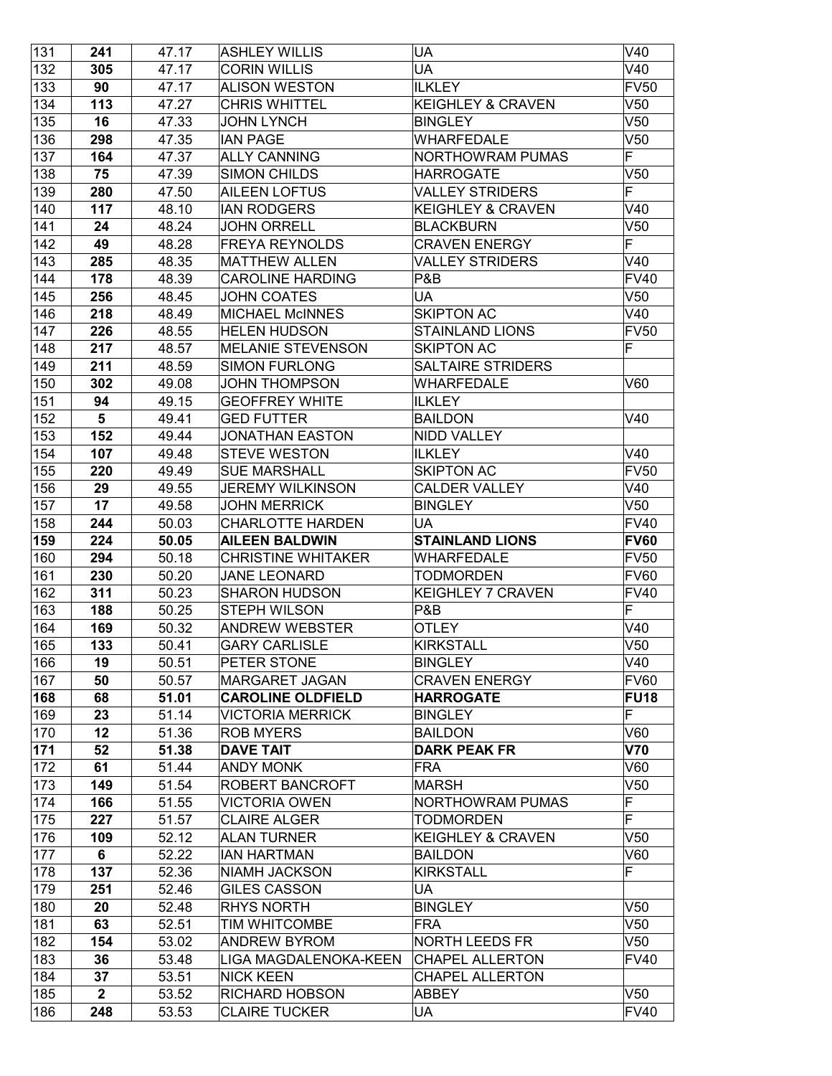| 131        | 241            | 47.17 | <b>ASHLEY WILLIS</b>                          | UA                           | V40                |
|------------|----------------|-------|-----------------------------------------------|------------------------------|--------------------|
| 132        | 305            | 47.17 | <b>CORIN WILLIS</b>                           | <b>UA</b>                    | V40                |
| 133        | 90             | 47.17 | <b>ALISON WESTON</b>                          | <b>ILKLEY</b>                | <b>FV50</b>        |
| 134        | 113            | 47.27 | <b>CHRIS WHITTEL</b>                          | <b>KEIGHLEY &amp; CRAVEN</b> | V50                |
| 135        | 16             | 47.33 | <b>JOHN LYNCH</b>                             | <b>BINGLEY</b>               | V <sub>50</sub>    |
| 136        | 298            | 47.35 | <b>IAN PAGE</b>                               | WHARFEDALE                   | V50                |
| 137        | 164            | 47.37 | <b>ALLY CANNING</b>                           | <b>NORTHOWRAM PUMAS</b>      | F                  |
| 138        | 75             | 47.39 | <b>SIMON CHILDS</b>                           | <b>HARROGATE</b>             | V50                |
| 139        | 280            | 47.50 | <b>AILEEN LOFTUS</b>                          | <b>VALLEY STRIDERS</b>       | F                  |
| 140        | 117            | 48.10 | <b>IAN RODGERS</b>                            | <b>KEIGHLEY &amp; CRAVEN</b> | V40                |
| 141        | 24             | 48.24 | <b>JOHN ORRELL</b>                            | <b>BLACKBURN</b>             | V50                |
| 142        | 49             | 48.28 | <b>FREYA REYNOLDS</b>                         | <b>CRAVEN ENERGY</b>         | F                  |
| 143        | 285            | 48.35 | <b>MATTHEW ALLEN</b>                          | <b>VALLEY STRIDERS</b>       | V40                |
| 144        | 178            | 48.39 | <b>CAROLINE HARDING</b>                       | P&B                          | <b>FV40</b>        |
| 145        | 256            | 48.45 | <b>JOHN COATES</b>                            | UA                           | V50                |
| 146        | 218            | 48.49 | <b>MICHAEL McINNES</b>                        | <b>SKIPTON AC</b>            | V40                |
| 147        | 226            | 48.55 | <b>HELEN HUDSON</b>                           | <b>STAINLAND LIONS</b>       | <b>FV50</b>        |
| 148        | 217            | 48.57 | <b>MELANIE STEVENSON</b>                      | <b>SKIPTON AC</b>            | F                  |
| 149        | 211            | 48.59 | <b>SIMON FURLONG</b>                          | <b>SALTAIRE STRIDERS</b>     |                    |
| 150        | 302            | 49.08 | <b>JOHN THOMPSON</b>                          | <b>WHARFEDALE</b>            | V60                |
| 151        | 94             | 49.15 | <b>GEOFFREY WHITE</b>                         | <b>ILKLEY</b>                |                    |
| 152        | $5\phantom{1}$ | 49.41 | <b>GED FUTTER</b>                             | <b>BAILDON</b>               | V40                |
| 153        | 152            | 49.44 | <b>JONATHAN EASTON</b>                        | <b>NIDD VALLEY</b>           |                    |
| 154        | 107            | 49.48 | <b>STEVE WESTON</b>                           | <b>ILKLEY</b>                | V40                |
| 155        | 220            | 49.49 | <b>SUE MARSHALL</b>                           | <b>SKIPTON AC</b>            | <b>FV50</b>        |
| 156        | 29             | 49.55 | <b>JEREMY WILKINSON</b>                       | <b>CALDER VALLEY</b>         | V40                |
| 157        | 17             | 49.58 | <b>JOHN MERRICK</b>                           | <b>BINGLEY</b>               | V50                |
| 158        | 244            | 50.03 | <b>CHARLOTTE HARDEN</b>                       | UA                           | <b>FV40</b>        |
|            |                |       |                                               |                              |                    |
| 159        | 224            | 50.05 | <b>AILEEN BALDWIN</b>                         | <b>STAINLAND LIONS</b>       | <b>FV60</b>        |
| 160        | 294            | 50.18 | <b>CHRISTINE WHITAKER</b>                     | WHARFEDALE                   | <b>FV50</b>        |
| 161        | 230            | 50.20 | <b>JANE LEONARD</b>                           | <b>TODMORDEN</b>             | <b>FV60</b>        |
| 162        | 311            | 50.23 | <b>SHARON HUDSON</b>                          | <b>KEIGHLEY 7 CRAVEN</b>     | <b>FV40</b>        |
| 163        | 188            | 50.25 | <b>STEPH WILSON</b>                           | P&B                          | F                  |
| 164        | 169            | 50.32 | <b>ANDREW WEBSTER</b>                         | OTLEY                        | V40                |
| 165        | 133            | 50.41 | <b>GARY CARLISLE</b>                          | <b>KIRKSTALL</b>             | V50                |
| 166        | 19             | 50.51 | PETER STONE                                   | <b>BINGLEY</b>               | V40                |
| 167        | 50             | 50.57 | <b>MARGARET JAGAN</b>                         | <b>CRAVEN ENERGY</b>         | <b>FV60</b>        |
| 168        | 68             | 51.01 | <b>CAROLINE OLDFIELD</b>                      | <b>HARROGATE</b>             | <b>FU18</b>        |
| 169        | 23             | 51.14 | <b>VICTORIA MERRICK</b>                       | <b>BINGLEY</b>               | F                  |
| 170        | 12             | 51.36 | <b>ROB MYERS</b>                              | <b>BAILDON</b>               | V60                |
| 171        | 52             | 51.38 | <b>DAVE TAIT</b>                              | <b>DARK PEAK FR</b>          | <b>V70</b>         |
| 172        | 61             | 51.44 | <b>ANDY MONK</b>                              | <b>FRA</b>                   | V60                |
| 173        | 149            | 51.54 | ROBERT BANCROFT                               | <b>MARSH</b>                 | V50                |
| 174        | 166            | 51.55 | <b>VICTORIA OWEN</b>                          | NORTHOWRAM PUMAS             | F                  |
| 175        | 227            | 51.57 | <b>CLAIRE ALGER</b>                           | <b>TODMORDEN</b>             | F                  |
| 176        | 109            | 52.12 | <b>ALAN TURNER</b>                            | <b>KEIGHLEY &amp; CRAVEN</b> | V50                |
| 177        | 6              | 52.22 | <b>IAN HARTMAN</b>                            | <b>BAILDON</b>               | V60                |
| 178        | 137            | 52.36 | <b>NIAMH JACKSON</b>                          | <b>KIRKSTALL</b>             | F                  |
| 179        | 251            | 52.46 | <b>GILES CASSON</b>                           | UA                           |                    |
| 180        | 20             | 52.48 | <b>RHYS NORTH</b>                             | <b>BINGLEY</b>               | V50                |
| 181        | 63             | 52.51 | <b>TIM WHITCOMBE</b>                          | FRA                          | V50                |
| 182        | 154            | 53.02 | <b>ANDREW BYROM</b>                           | NORTH LEEDS FR               | V50                |
| 183        | 36             | 53.48 | LIGA MAGDALENOKA-KEEN                         | <b>CHAPEL ALLERTON</b>       | <b>FV40</b>        |
| 184        | 37             | 53.51 | <b>NICK KEEN</b>                              | <b>CHAPEL ALLERTON</b>       |                    |
| 185<br>186 | $\mathbf{2}$   | 53.52 | <b>RICHARD HOBSON</b><br><b>CLAIRE TUCKER</b> | ABBEY<br>UA                  | V50<br><b>FV40</b> |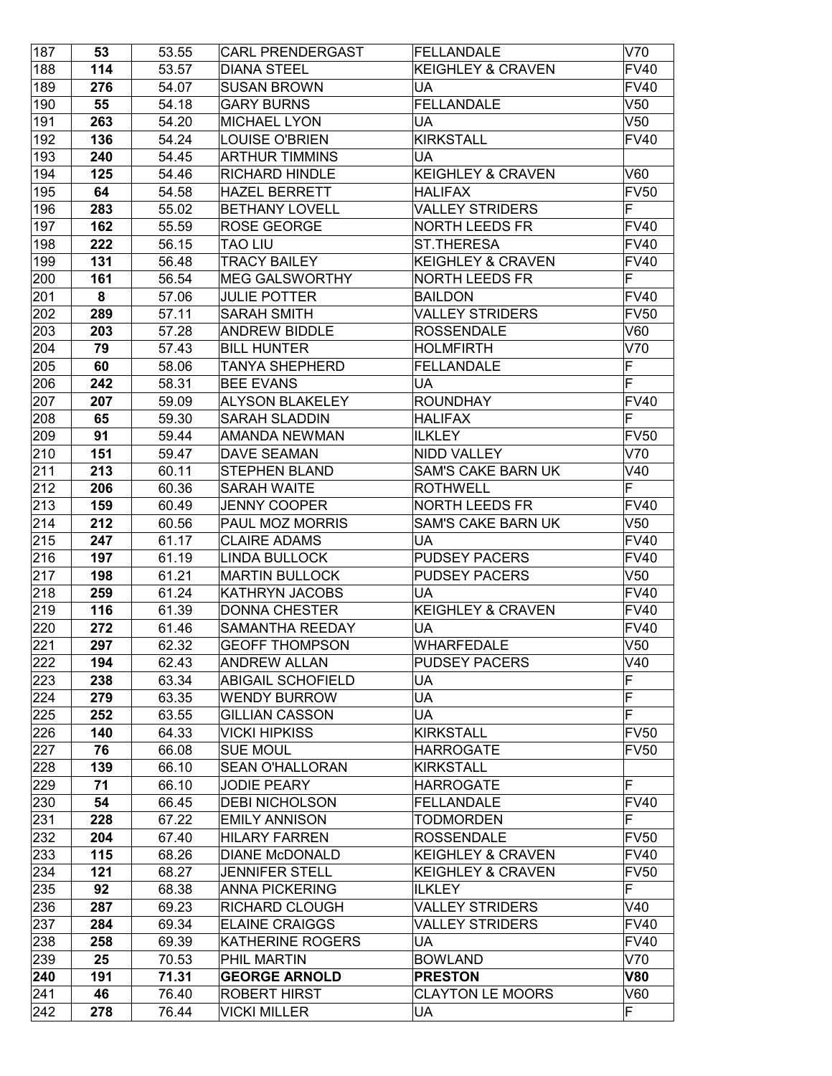| 187 | 53  | 53.55 | <b>CARL PRENDERGAST</b>  | FELLANDALE                   | V70         |
|-----|-----|-------|--------------------------|------------------------------|-------------|
| 188 | 114 | 53.57 | <b>DIANA STEEL</b>       | <b>KEIGHLEY &amp; CRAVEN</b> | <b>FV40</b> |
| 189 | 276 | 54.07 | <b>SUSAN BROWN</b>       | UA                           | <b>FV40</b> |
| 190 | 55  | 54.18 | <b>GARY BURNS</b>        | FELLANDALE                   | V50         |
| 191 | 263 | 54.20 | <b>MICHAEL LYON</b>      | UA                           | V50         |
| 192 | 136 | 54.24 | LOUISE O'BRIEN           | <b>KIRKSTALL</b>             | <b>FV40</b> |
| 193 | 240 | 54.45 | <b>ARTHUR TIMMINS</b>    | UA                           |             |
| 194 | 125 | 54.46 | RICHARD HINDLE           | <b>KEIGHLEY &amp; CRAVEN</b> | V60         |
| 195 | 64  | 54.58 | <b>HAZEL BERRETT</b>     | <b>HALIFAX</b>               | <b>FV50</b> |
| 196 | 283 | 55.02 | <b>BETHANY LOVELL</b>    | <b>VALLEY STRIDERS</b>       | F           |
| 197 | 162 | 55.59 | ROSE GEORGE              | <b>NORTH LEEDS FR</b>        | <b>FV40</b> |
| 198 | 222 | 56.15 | <b>TAO LIU</b>           | <b>ST.THERESA</b>            | <b>FV40</b> |
| 199 | 131 | 56.48 | <b>TRACY BAILEY</b>      | <b>KEIGHLEY &amp; CRAVEN</b> | <b>FV40</b> |
| 200 | 161 | 56.54 | <b>MEG GALSWORTHY</b>    | NORTH LEEDS FR               | F           |
| 201 | 8   | 57.06 | JULIE POTTER             | <b>BAILDON</b>               | FV40        |
| 202 | 289 | 57.11 | <b>SARAH SMITH</b>       | <b>VALLEY STRIDERS</b>       | <b>FV50</b> |
| 203 | 203 | 57.28 | <b>ANDREW BIDDLE</b>     | <b>ROSSENDALE</b>            | V60         |
| 204 | 79  | 57.43 | <b>BILL HUNTER</b>       | <b>HOLMFIRTH</b>             | V70         |
| 205 | 60  | 58.06 | <b>TANYA SHEPHERD</b>    | <b>FELLANDALE</b>            | F           |
| 206 | 242 | 58.31 | <b>BEE EVANS</b>         | UA                           | F           |
| 207 | 207 | 59.09 | <b>ALYSON BLAKELEY</b>   | <b>ROUNDHAY</b>              | <b>FV40</b> |
| 208 | 65  | 59.30 | <b>SARAH SLADDIN</b>     | <b>HALIFAX</b>               | F           |
| 209 | 91  | 59.44 | AMANDA NEWMAN            | <b>ILKLEY</b>                | <b>FV50</b> |
| 210 | 151 | 59.47 | <b>DAVE SEAMAN</b>       | <b>NIDD VALLEY</b>           | V70         |
| 211 | 213 | 60.11 | <b>STEPHEN BLAND</b>     | SAM'S CAKE BARN UK           | V40         |
| 212 | 206 | 60.36 | <b>SARAH WAITE</b>       | <b>ROTHWELL</b>              | F           |
| 213 | 159 | 60.49 | <b>JENNY COOPER</b>      | <b>NORTH LEEDS FR</b>        | <b>FV40</b> |
| 214 | 212 | 60.56 | PAUL MOZ MORRIS          | <b>SAM'S CAKE BARN UK</b>    | V50         |
| 215 | 247 | 61.17 | <b>CLAIRE ADAMS</b>      | UA                           | <b>FV40</b> |
| 216 | 197 | 61.19 | <b>LINDA BULLOCK</b>     | <b>PUDSEY PACERS</b>         | <b>FV40</b> |
| 217 | 198 | 61.21 | <b>MARTIN BULLOCK</b>    | <b>PUDSEY PACERS</b>         | V50         |
| 218 | 259 | 61.24 | <b>KATHRYN JACOBS</b>    | UA                           | <b>FV40</b> |
| 219 | 116 | 61.39 | <b>DONNA CHESTER</b>     | <b>KEIGHLEY &amp; CRAVEN</b> | <b>FV40</b> |
| 220 | 272 | 61.46 | <b>SAMANTHA REEDAY</b>   | UA                           | <b>FV40</b> |
| 221 | 297 | 62.32 | <b>GEOFF THOMPSON</b>    | WHARFEDALE                   | V50         |
| 222 | 194 | 62.43 | <b>ANDREW ALLAN</b>      | <b>PUDSEY PACERS</b>         | V40         |
| 223 | 238 | 63.34 | <b>ABIGAIL SCHOFIELD</b> | UA                           | F           |
| 224 | 279 | 63.35 | <b>WENDY BURROW</b>      | UA                           | F           |
| 225 | 252 | 63.55 | <b>GILLIAN CASSON</b>    | UA                           | F           |
| 226 | 140 | 64.33 | <b>VICKI HIPKISS</b>     | <b>KIRKSTALL</b>             | <b>FV50</b> |
| 227 | 76  | 66.08 | <b>SUE MOUL</b>          | <b>HARROGATE</b>             | <b>FV50</b> |
| 228 | 139 | 66.10 | <b>SEAN O'HALLORAN</b>   | <b>KIRKSTALL</b>             |             |
| 229 | 71  | 66.10 | <b>JODIE PEARY</b>       | <b>HARROGATE</b>             | F           |
| 230 | 54  | 66.45 | <b>DEBI NICHOLSON</b>    | <b>FELLANDALE</b>            | <b>FV40</b> |
| 231 | 228 | 67.22 | <b>EMILY ANNISON</b>     | <b>TODMORDEN</b>             | F           |
| 232 | 204 | 67.40 | <b>HILARY FARREN</b>     | <b>ROSSENDALE</b>            | <b>FV50</b> |
| 233 | 115 | 68.26 | <b>DIANE McDONALD</b>    | <b>KEIGHLEY &amp; CRAVEN</b> | <b>FV40</b> |
| 234 | 121 | 68.27 | <b>JENNIFER STELL</b>    | <b>KEIGHLEY &amp; CRAVEN</b> | <b>FV50</b> |
| 235 | 92  | 68.38 | <b>ANNA PICKERING</b>    | <b>ILKLEY</b>                | F           |
| 236 | 287 | 69.23 | RICHARD CLOUGH           | <b>VALLEY STRIDERS</b>       | V40         |
| 237 | 284 | 69.34 | <b>ELAINE CRAIGGS</b>    | VALLEY STRIDERS              | <b>FV40</b> |
| 238 | 258 | 69.39 | KATHERINE ROGERS         | UA                           | <b>FV40</b> |
| 239 | 25  | 70.53 | PHIL MARTIN              | <b>BOWLAND</b>               | V70         |
| 240 | 191 | 71.31 | <b>GEORGE ARNOLD</b>     | <b>PRESTON</b>               | <b>V80</b>  |
| 241 | 46  | 76.40 | <b>ROBERT HIRST</b>      | <b>CLAYTON LE MOORS</b>      | V60         |
| 242 | 278 | 76.44 | <b>VICKI MILLER</b>      | UA                           | F           |